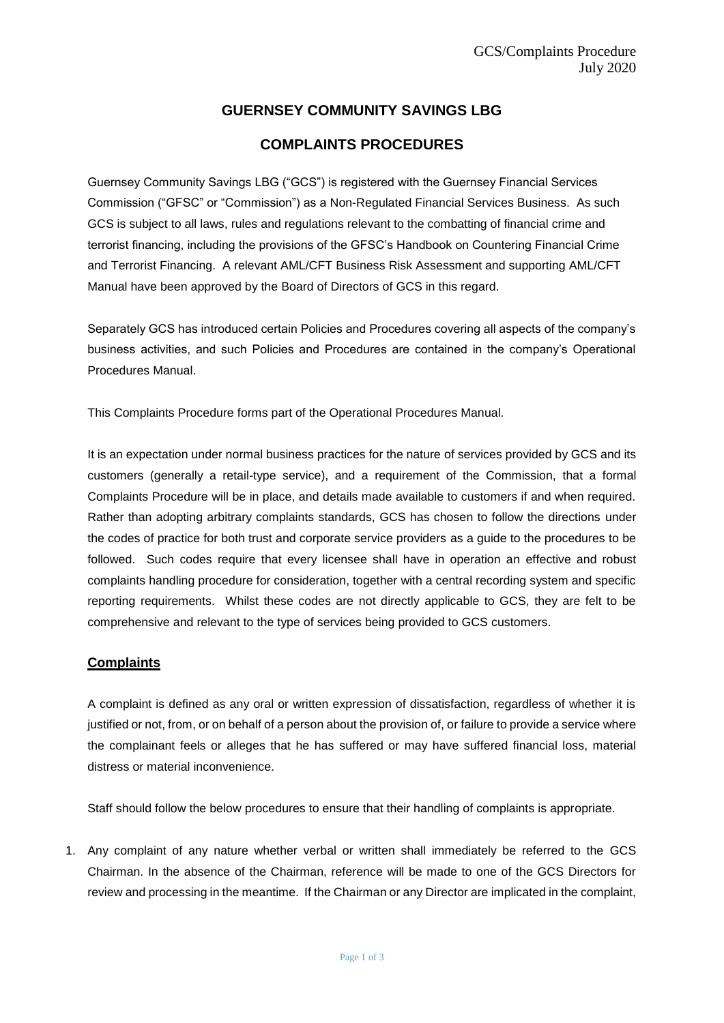# **GUERNSEY COMMUNITY SAVINGS LBG**

## **COMPLAINTS PROCEDURES**

Guernsey Community Savings LBG ("GCS") is registered with the Guernsey Financial Services Commission ("GFSC" or "Commission") as a Non-Regulated Financial Services Business. As such GCS is subject to all laws, rules and regulations relevant to the combatting of financial crime and terrorist financing, including the provisions of the GFSC's Handbook on Countering Financial Crime and Terrorist Financing. A relevant AML/CFT Business Risk Assessment and supporting AML/CFT Manual have been approved by the Board of Directors of GCS in this regard.

Separately GCS has introduced certain Policies and Procedures covering all aspects of the company's business activities, and such Policies and Procedures are contained in the company's Operational Procedures Manual.

This Complaints Procedure forms part of the Operational Procedures Manual.

It is an expectation under normal business practices for the nature of services provided by GCS and its customers (generally a retail-type service), and a requirement of the Commission, that a formal Complaints Procedure will be in place, and details made available to customers if and when required. Rather than adopting arbitrary complaints standards, GCS has chosen to follow the directions under the codes of practice for both trust and corporate service providers as a guide to the procedures to be followed. Such codes require that every licensee shall have in operation an effective and robust complaints handling procedure for consideration, together with a central recording system and specific reporting requirements. Whilst these codes are not directly applicable to GCS, they are felt to be comprehensive and relevant to the type of services being provided to GCS customers.

## **Complaints**

A complaint is defined as any oral or written expression of dissatisfaction, regardless of whether it is justified or not, from, or on behalf of a person about the provision of, or failure to provide a service where the complainant feels or alleges that he has suffered or may have suffered financial loss, material distress or material inconvenience.

Staff should follow the below procedures to ensure that their handling of complaints is appropriate.

1. Any complaint of any nature whether verbal or written shall immediately be referred to the GCS Chairman. In the absence of the Chairman, reference will be made to one of the GCS Directors for review and processing in the meantime. If the Chairman or any Director are implicated in the complaint,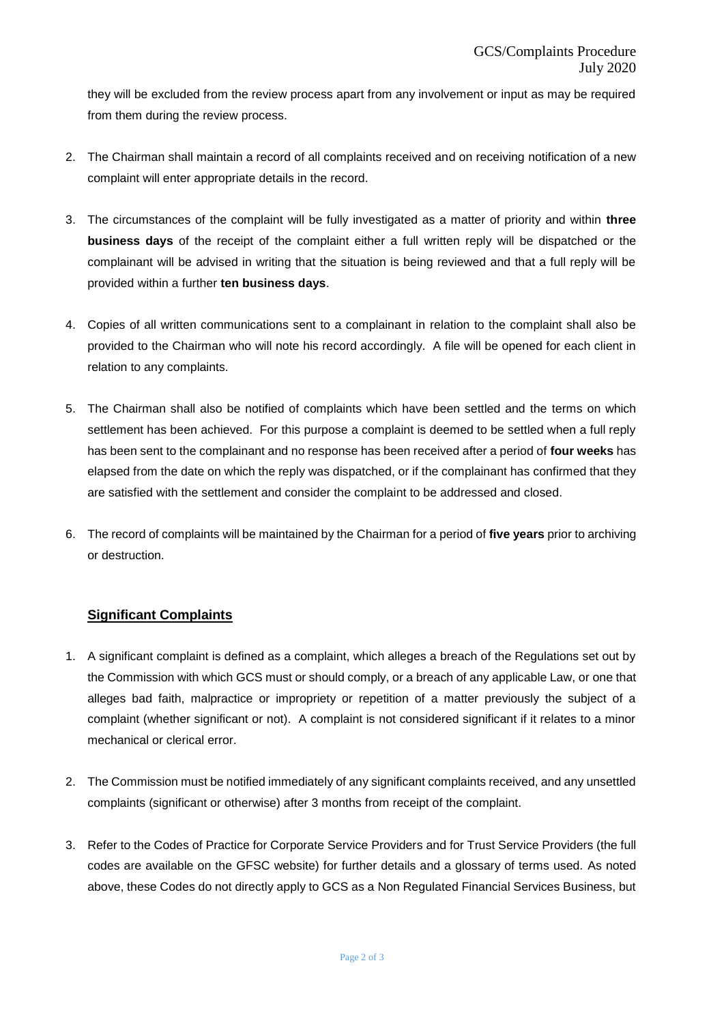they will be excluded from the review process apart from any involvement or input as may be required from them during the review process.

- 2. The Chairman shall maintain a record of all complaints received and on receiving notification of a new complaint will enter appropriate details in the record.
- 3. The circumstances of the complaint will be fully investigated as a matter of priority and within **three business days** of the receipt of the complaint either a full written reply will be dispatched or the complainant will be advised in writing that the situation is being reviewed and that a full reply will be provided within a further **ten business days**.
- 4. Copies of all written communications sent to a complainant in relation to the complaint shall also be provided to the Chairman who will note his record accordingly. A file will be opened for each client in relation to any complaints.
- 5. The Chairman shall also be notified of complaints which have been settled and the terms on which settlement has been achieved. For this purpose a complaint is deemed to be settled when a full reply has been sent to the complainant and no response has been received after a period of **four weeks** has elapsed from the date on which the reply was dispatched, or if the complainant has confirmed that they are satisfied with the settlement and consider the complaint to be addressed and closed.
- 6. The record of complaints will be maintained by the Chairman for a period of **five years** prior to archiving or destruction.

## **Significant Complaints**

- 1. A significant complaint is defined as a complaint, which alleges a breach of the Regulations set out by the Commission with which GCS must or should comply, or a breach of any applicable Law, or one that alleges bad faith, malpractice or impropriety or repetition of a matter previously the subject of a complaint (whether significant or not). A complaint is not considered significant if it relates to a minor mechanical or clerical error.
- 2. The Commission must be notified immediately of any significant complaints received, and any unsettled complaints (significant or otherwise) after 3 months from receipt of the complaint.
- 3. Refer to the Codes of Practice for Corporate Service Providers and for Trust Service Providers (the full codes are available on the GFSC website) for further details and a glossary of terms used. As noted above, these Codes do not directly apply to GCS as a Non Regulated Financial Services Business, but